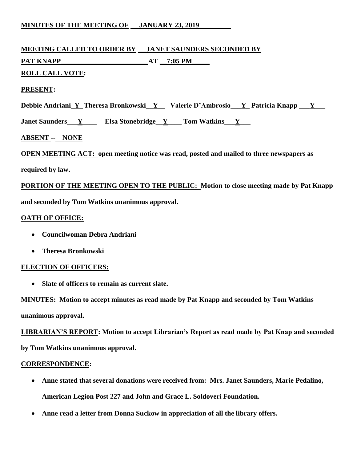# **MINUTES OF THE MEETING OF JANUARY 23, 2019**

# **MEETING CALLED TO ORDER BY \_\_JANET SAUNDERS SECONDED BY PAT KNAPP\_\_\_\_\_\_\_\_\_\_\_\_\_\_\_\_\_\_\_\_\_\_\_\_\_AT \_\_7:05 PM\_\_\_\_\_**

# **ROLL CALL VOTE:**

## **PRESENT:**

Debbie Andriani\_Y\_Theresa Bronkowski\_Y\_\_ Valerie D'Ambrosio\_\_Y\_Patricia Knapp \_\_Y\_\_

**Janet Saunders\_\_\_Y\_\_\_\_\_\_\_\_\_ Elsa Stonebridge\_\_Y\_\_\_\_\_\_ Tom Watkins\_\_\_Y\_\_\_\_** 

# **ABSENT -- NONE**

**OPEN MEETING ACT: open meeting notice was read, posted and mailed to three newspapers as** 

**required by law.**

**PORTION OF THE MEETING OPEN TO THE PUBLIC: Motion to close meeting made by Pat Knapp and seconded by Tom Watkins unanimous approval.**

#### **OATH OF OFFICE:**

- **Councilwoman Debra Andriani**
- **Theresa Bronkowski**

#### **ELECTION OF OFFICERS:**

**Slate of officers to remain as current slate.**

**MINUTES: Motion to accept minutes as read made by Pat Knapp and seconded by Tom Watkins unanimous approval.**

**LIBRARIAN'S REPORT: Motion to accept Librarian's Report as read made by Pat Knap and seconded by Tom Watkins unanimous approval.**

#### **CORRESPONDENCE:**

- **Anne stated that several donations were received from: Mrs. Janet Saunders, Marie Pedalino, American Legion Post 227 and John and Grace L. Soldoveri Foundation.**
- **Anne read a letter from Donna Suckow in appreciation of all the library offers.**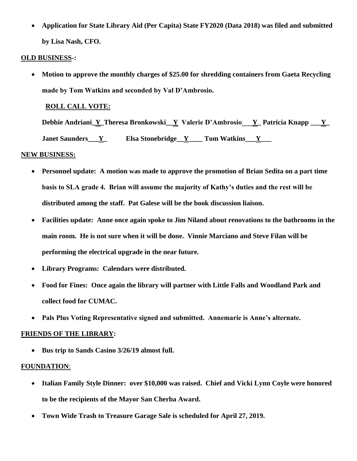**Application for State Library Aid (Per Capita) State FY2020 (Data 2018) was filed and submitted by Lisa Nash, CFO.**

## **OLD BUSINESS-:**

• Motion to approve the monthly charges of \$25.00 for shredding containers from Gaeta Recycling **made by Tom Watkins and seconded by Val D'Ambrosio.** 

# **ROLL CALL VOTE:**

**Debbie Andriani\_Y\_Theresa Bronkowski\_\_Y Valerie D'Ambrosio\_\_\_Y\_ Patricia Knapp \_\_\_Y\_ Janet Saunders\_\_\_Y\_\_\_\_\_\_\_ Elsa Stonebridge\_\_Y\_\_\_\_\_ Tom Watkins\_\_\_Y\_\_\_\_** 

# **NEW BUSINESS:**

- **Personnel update: A motion was made to approve the promotion of Brian Sedita on a part time basis to SLA grade 4. Brian will assume the majority of Kathy's duties and the rest will be distributed among the staff. Pat Galese will be the book discussion liaison.**
- **Facilities update: Anne once again spoke to Jim Niland about renovations to the bathrooms in the main room. He is not sure when it will be done. Vinnie Marciano and Steve Filan will be performing the electrical upgrade in the near future.**
- **Library Programs: Calendars were distributed.**
- **Food for Fines: Once again the library will partner with Little Falls and Woodland Park and collect food for CUMAC.**
- **Pals Plus Voting Representative signed and submitted. Annemarie is Anne's alternate.**

#### **FRIENDS OF THE LIBRARY:**

• Bus trip to Sands Casino 3/26/19 almost full.

#### **FOUNDATION**:

- **Italian Family Style Dinner: over \$10,000 was raised. Chief and Vicki Lynn Coyle were honored to be the recipients of the Mayor San Cherba Award.**
- **Town Wide Trash to Treasure Garage Sale is scheduled for April 27, 2019.**